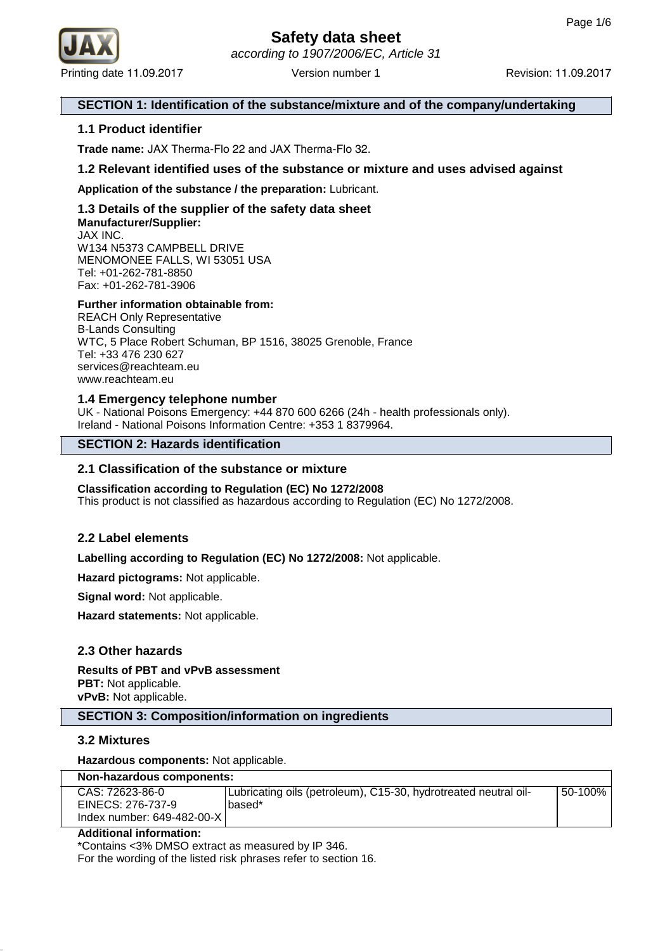

## **SECTION 1: Identification of the substance/mixture and of the company/undertaking**

## **1.1 Product identifier**

**Trade name:** JAX Therma-Flo 22 and JAX Therma-Flo 32.

## **1.2 Relevant identified uses of the substance or mixture and uses advised against**

**Application of the substance / the preparation:** Lubricant.

#### **1.3 Details of the supplier of the safety data sheet Manufacturer/Supplier:** JAX INC. W134 N5373 CAMPBELL DRIVE

MENOMONEE FALLS, WI 53051 USA Tel: +01-262-781-8850 Fax: +01-262-781-3906

#### **Further information obtainable from:**

REACH Only Representative B-Lands Consulting WTC, 5 Place Robert Schuman, BP 1516, 38025 Grenoble, France Tel: +33 476 230 627 services@reachteam.eu www.reachteam.eu

#### **1.4 Emergency telephone number**

UK - National Poisons Emergency: +44 870 600 6266 (24h - health professionals only). Ireland - National Poisons Information Centre: +353 1 8379964.

## **SECTION 2: Hazards identification**

#### **2.1 Classification of the substance or mixture**

## **Classification according to Regulation (EC) No 1272/2008**

This product is not classified as hazardous according to Regulation (EC) No 1272/2008.

## **2.2 Label elements**

**Labelling according to Regulation (EC) No 1272/2008:** Not applicable.

**Hazard pictograms:** Not applicable.

**Signal word:** Not applicable.

**Hazard statements:** Not applicable.

## **2.3 Other hazards**

**Results of PBT and vPvB assessment PBT:** Not applicable. **vPvB:** Not applicable.

## **SECTION 3: Composition/information on ingredients**

#### **3.2 Mixtures**

**Hazardous components:** Not applicable.

| Non-hazardous components:                                          |                                                                           |         |  |
|--------------------------------------------------------------------|---------------------------------------------------------------------------|---------|--|
| CAS: 72623-86-0<br>EINECS: 276-737-9<br>Index number: 649-482-00-X | Lubricating oils (petroleum), C15-30, hydrotreated neutral oil-<br>based* | 50-100% |  |

#### **Additional information:**

\*Contains <3% DMSO extract as measured by IP 346.

For the wording of the listed risk phrases refer to section 16.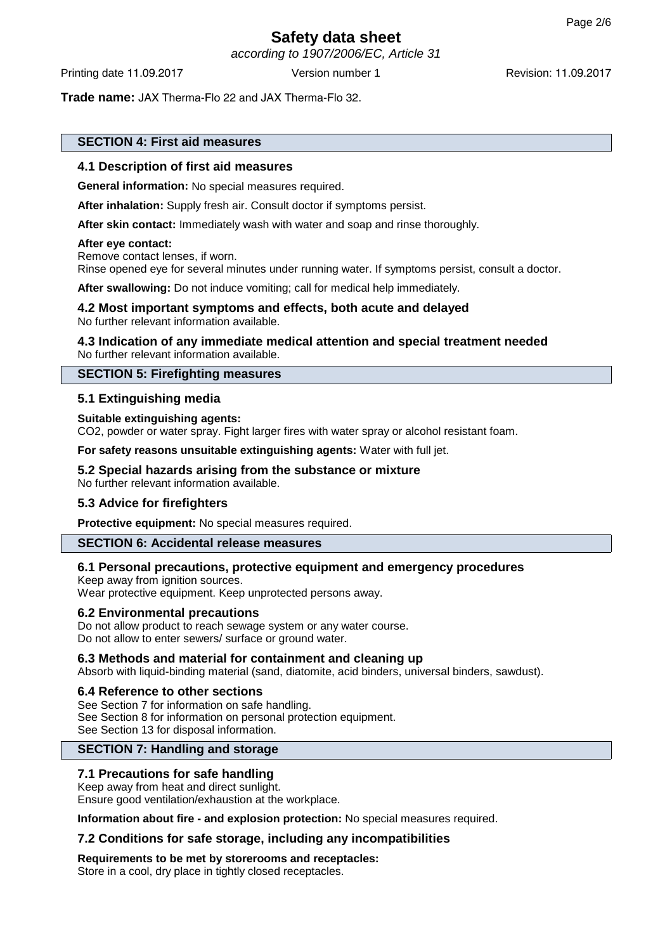according to 1907/2006/EC, Article 31

Printing date 11.09.2017 **Version number 1** Revision: 11.09.2017

**Trade name:** JAX Therma-Flo 22 and JAX Therma-Flo 32.

## **SECTION 4: First aid measures**

#### **4.1 Description of first aid measures**

**General information:** No special measures required.

**After inhalation:** Supply fresh air. Consult doctor if symptoms persist.

**After skin contact:** Immediately wash with water and soap and rinse thoroughly.

#### **After eye contact:**

Remove contact lenses, if worn. Rinse opened eye for several minutes under running water. If symptoms persist, consult a doctor.

**After swallowing:** Do not induce vomiting; call for medical help immediately.

#### **4.2 Most important symptoms and effects, both acute and delayed** No further relevant information available.

#### **4.3 Indication of any immediate medical attention and special treatment needed** No further relevant information available.

#### **SECTION 5: Firefighting measures**

## **5.1 Extinguishing media**

#### **Suitable extinguishing agents:**

CO2, powder or water spray. Fight larger fires with water spray or alcohol resistant foam.

**For safety reasons unsuitable extinguishing agents:** Water with full jet.

#### **5.2 Special hazards arising from the substance or mixture**

No further relevant information available.

## **5.3 Advice for firefighters**

**Protective equipment:** No special measures required.

#### **SECTION 6: Accidental release measures**

## **6.1 Personal precautions, protective equipment and emergency procedures**

Keep away from ignition sources. Wear protective equipment. Keep unprotected persons away.

#### **6.2 Environmental precautions**

Do not allow product to reach sewage system or any water course. Do not allow to enter sewers/ surface or ground water.

#### **6.3 Methods and material for containment and cleaning up**

Absorb with liquid-binding material (sand, diatomite, acid binders, universal binders, sawdust).

#### **6.4 Reference to other sections**

See Section 7 for information on safe handling. See Section 8 for information on personal protection equipment. See Section 13 for disposal information.

## **SECTION 7: Handling and storage**

## **7.1 Precautions for safe handling**

#### Keep away from heat and direct sunlight.

Ensure good ventilation/exhaustion at the workplace.

**Information about fire - and explosion protection:** No special measures required.

## **7.2 Conditions for safe storage, including any incompatibilities**

**Requirements to be met by storerooms and receptacles:**

Store in a cool, dry place in tightly closed receptacles.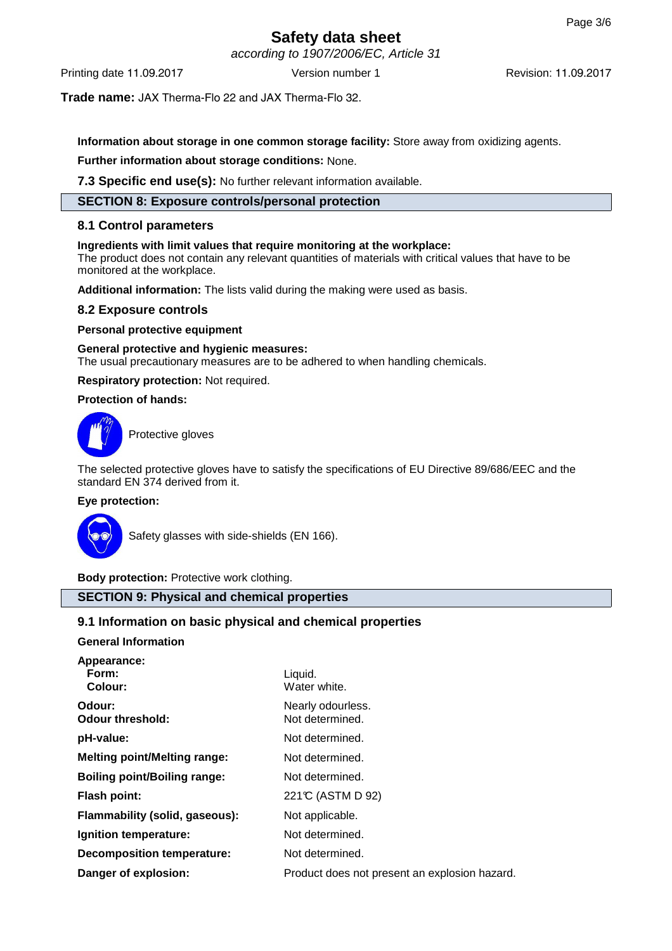according to 1907/2006/EC, Article 31

Printing date 11.09.2017 **Version number 1** Revision: 11.09.2017

**Trade name:** JAX Therma-Flo 22 and JAX Therma-Flo 32.

**Information about storage in one common storage facility:** Store away from oxidizing agents.

**Further information about storage conditions:** None.

**7.3 Specific end use(s):** No further relevant information available.

## **SECTION 8: Exposure controls/personal protection**

## **8.1 Control parameters**

#### **Ingredients with limit values that require monitoring at the workplace:**

The product does not contain any relevant quantities of materials with critical values that have to be monitored at the workplace.

**Additional information:** The lists valid during the making were used as basis.

#### **8.2 Exposure controls**

#### **Personal protective equipment**

**General protective and hygienic measures:** The usual precautionary measures are to be adhered to when handling chemicals.

**Respiratory protection:** Not required.

#### **Protection of hands:**



Protective gloves

The selected protective gloves have to satisfy the specifications of EU Directive 89/686/EEC and the standard EN 374 derived from it.

#### **Eye protection:**



Safety glasses with side-shields (EN 166).

**Body protection:** Protective work clothing.

## **SECTION 9: Physical and chemical properties**

## **9.1 Information on basic physical and chemical properties**

**General Information**

| Appearance:<br>Form:<br>Colour:     | Liquid.<br>Water white.                       |
|-------------------------------------|-----------------------------------------------|
| Odour:<br><b>Odour threshold:</b>   | Nearly odourless.<br>Not determined.          |
| pH-value:                           | Not determined.                               |
| <b>Melting point/Melting range:</b> | Not determined.                               |
| <b>Boiling point/Boiling range:</b> | Not determined.                               |
| <b>Flash point:</b>                 | 221℃ (ASTM D 92)                              |
| Flammability (solid, gaseous):      | Not applicable.                               |
| Ignition temperature:               | Not determined.                               |
| <b>Decomposition temperature:</b>   | Not determined.                               |
| Danger of explosion:                | Product does not present an explosion hazard. |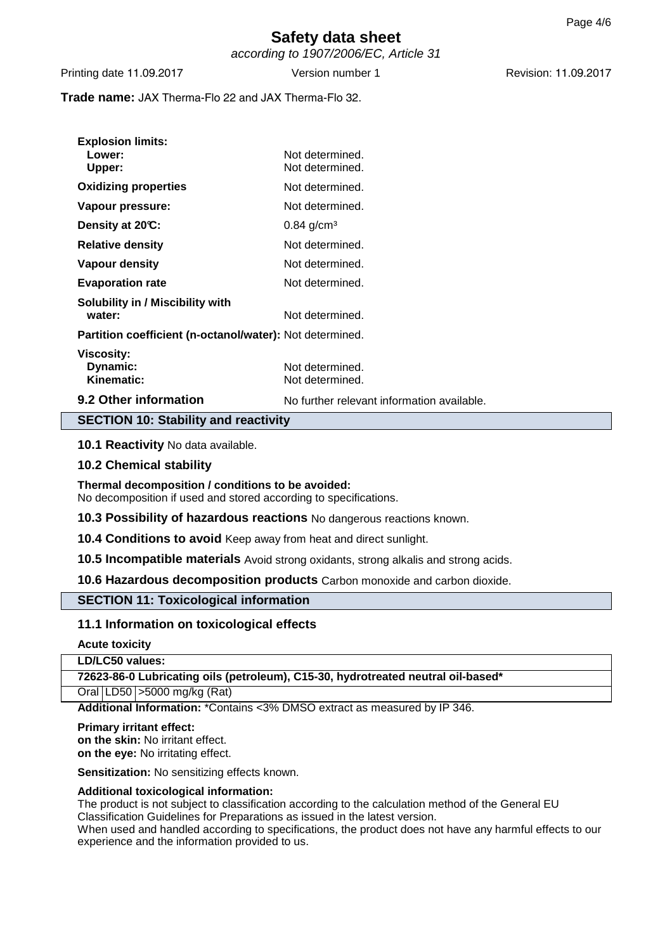according to 1907/2006/EC, Article 31

Printing date 11.09.2017 **Version number 1** Revision: 11.09.2017

**Trade name:** JAX Therma-Flo 22 and JAX Therma-Flo 32.

| <b>SECTION 10: Stability and reactivity</b>              |                                            |  |  |
|----------------------------------------------------------|--------------------------------------------|--|--|
| 9.2 Other information                                    | No further relevant information available. |  |  |
| <b>Viscosity:</b><br>Dynamic:<br>Kinematic:              | Not determined.<br>Not determined.         |  |  |
| Partition coefficient (n-octanol/water): Not determined. |                                            |  |  |
| <b>Solubility in / Miscibility with</b><br>water:        | Not determined.                            |  |  |
| <b>Evaporation rate</b>                                  | Not determined.                            |  |  |
| <b>Vapour density</b>                                    | Not determined.                            |  |  |
| <b>Relative density</b>                                  | Not determined.                            |  |  |
| Density at 20°C:                                         | $0.84$ g/cm <sup>3</sup>                   |  |  |
| Vapour pressure:                                         | Not determined.                            |  |  |
| <b>Oxidizing properties</b>                              | Not determined.                            |  |  |
| <b>Explosion limits:</b><br>Lower:<br>Upper:             | Not determined.<br>Not determined.         |  |  |
|                                                          |                                            |  |  |

## **10.1 Reactivity** No data available.

## **10.2 Chemical stability**

**Thermal decomposition / conditions to be avoided:** No decomposition if used and stored according to specifications.

**10.3 Possibility of hazardous reactions** No dangerous reactions known.

**10.4 Conditions to avoid** Keep away from heat and direct sunlight.

**10.5 Incompatible materials** Avoid strong oxidants, strong alkalis and strong acids.

**10.6 Hazardous decomposition products** Carbon monoxide and carbon dioxide.

## **SECTION 11: Toxicological information**

## **11.1 Information on toxicological effects**

**Acute toxicity**

**LD/LC50 values:**

**72623-86-0 Lubricating oils (petroleum), C15-30, hydrotreated neutral oil-based\***

Oral LD50 >5000 mg/kg (Rat)

**Additional Information:** \*Contains <3% DMSO extract as measured by IP 346.

#### **Primary irritant effect:**

**on the skin:** No irritant effect. **on the eye:** No irritating effect.

**Sensitization:** No sensitizing effects known.

#### **Additional toxicological information:**

The product is not subject to classification according to the calculation method of the General EU Classification Guidelines for Preparations as issued in the latest version.

When used and handled according to specifications, the product does not have any harmful effects to our experience and the information provided to us.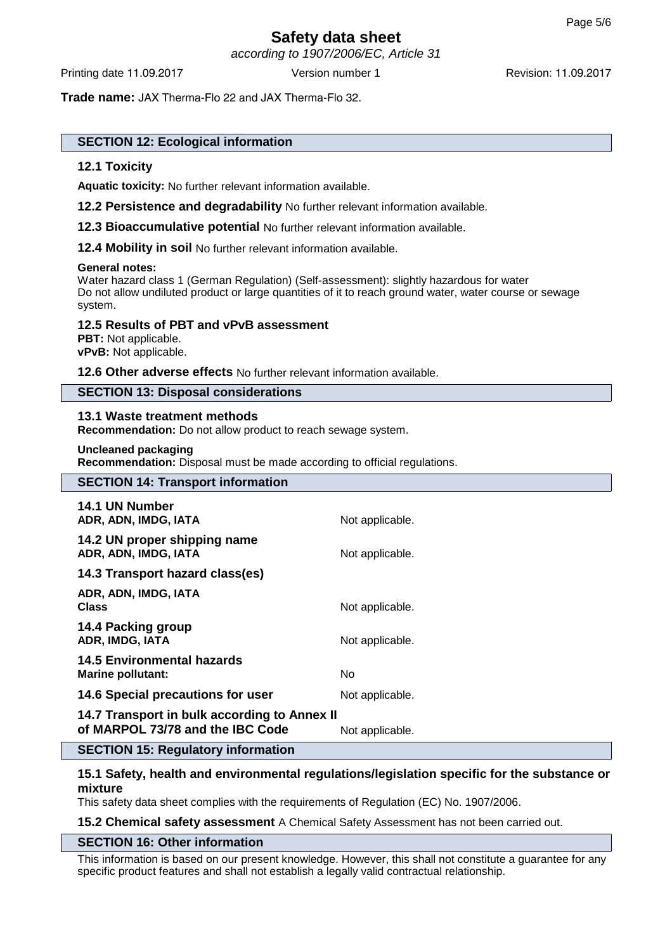according to 1907/2006/EC, Article 31

**Trade name:** JAX Therma-Flo 22 and JAX Therma-Flo 32.

## **SECTION 12: Ecological information**

#### **12.1 Toxicity**

**Aquatic toxicity:** No further relevant information available.

**12.2 Persistence and degradability** No further relevant information available.

**12.3 Bioaccumulative potential** No further relevant information available.

**12.4 Mobility in soil** No further relevant information available.

#### **General notes:**

Water hazard class 1 (German Regulation) (Self-assessment): slightly hazardous for water Do not allow undiluted product or large quantities of it to reach ground water, water course or sewage system.

#### **12.5 Results of PBT and vPvB assessment**

**PBT:** Not applicable. **vPvB:** Not applicable.

**12.6 Other adverse effects** No further relevant information available.

## **SECTION 13: Disposal considerations**

#### **13.1 Waste treatment methods**

**Recommendation:** Do not allow product to reach sewage system.

#### **Uncleaned packaging**

**Recommendation:** Disposal must be made according to official regulations.

# **SECTION 14: Transport information 14.1 UN Number** ADR, ADN, IMDG, IATA Not applicable.

**14.2 UN proper shipping name ADR, ADN, IMDG, IATA** Not applicable.

**14.3 Transport hazard class(es)**

| ADR, ADN, IMDG, IATA<br><b>Class</b>                                             | Not applicable. |
|----------------------------------------------------------------------------------|-----------------|
| 14.4 Packing group<br>ADR, IMDG, IATA                                            | Not applicable. |
| <b>14.5 Environmental hazards</b><br><b>Marine pollutant:</b>                    | No.             |
| 14.6 Special precautions for user                                                | Not applicable. |
| 14.7 Transport in bulk according to Annex II<br>of MARPOL 73/78 and the IBC Code | Not applicable. |

#### **SECTION 15: Regulatory information**

## **15.1 Safety, health and environmental regulations/legislation specific for the substance or mixture**

This safety data sheet complies with the requirements of Regulation (EC) No. 1907/2006.

**15.2 Chemical safety assessment** A Chemical Safety Assessment has not been carried out.

#### **SECTION 16: Other information**

This information is based on our present knowledge. However, this shall not constitute a guarantee for any specific product features and shall not establish a legally valid contractual relationship.